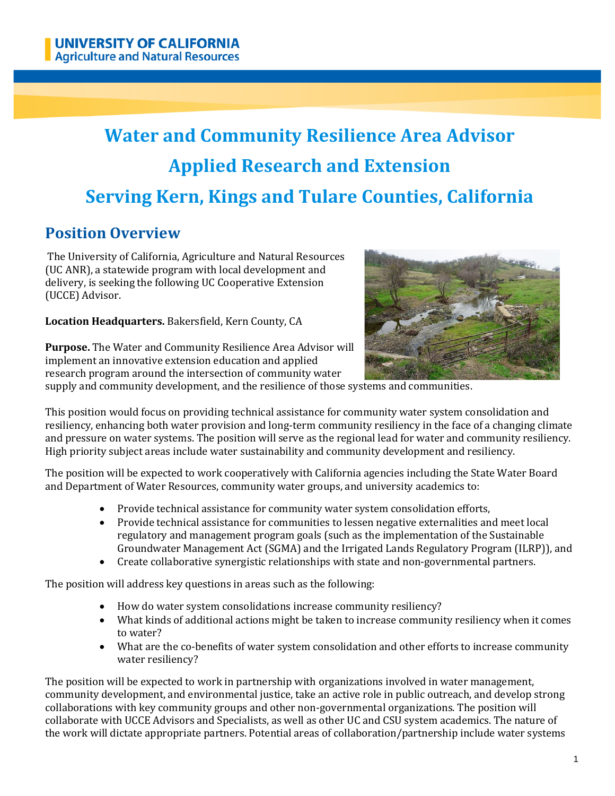# **Water and Community Resilience Area Advisor Applied Research and Extension Serving Kern, Kings and Tulare Counties, California**

# **Position Overview**

The University of California, Agriculture and Natural Resources (UC ANR), a statewide program with local development and delivery, is seeking the following UC Cooperative Extension (UCCE) Advisor.

**Location Headquarters.** Bakersfield, Kern County, CA



**Purpose.** The Water and Community Resilience Area Advisor will implement an innovative extension education and applied research program around the intersection of community water

supply and community development, and the resilience of those systems and communities.

This position would focus on providing technical assistance for community water system consolidation and resiliency, enhancing both water provision and long-term community resiliency in the face of a changing climate and pressure on water systems. The position will serve as the regional lead for water and community resiliency. High priority subject areas include water sustainability and community development and resiliency.

The position will be expected to work cooperatively with California agencies including the State Water Board and Department of Water Resources, community water groups, and university academics to:

- Provide technical assistance for community water system consolidation efforts,
- Provide technical assistance for communities to lessen negative externalities and meet local regulatory and management program goals (such as the implementation of the Sustainable Groundwater Management Act (SGMA) and the Irrigated Lands Regulatory Program (ILRP)), and
- Create collaborative synergistic relationships with state and non-governmental partners.

The position will address key questions in areas such as the following:

- How do water system consolidations increase community resiliency?
- What kinds of additional actions might be taken to increase community resiliency when it comes to water?
- What are the co-benefits of water system consolidation and other efforts to increase community water resiliency?

The position will be expected to work in partnership with organizations involved in water management, community development, and environmental justice, take an active role in public outreach, and develop strong collaborations with key community groups and other non-governmental organizations. The position will collaborate with UCCE Advisors and Specialists, as well as other UC and CSU system academics. The nature of the work will dictate appropriate partners. Potential areas of collaboration/partnership include water systems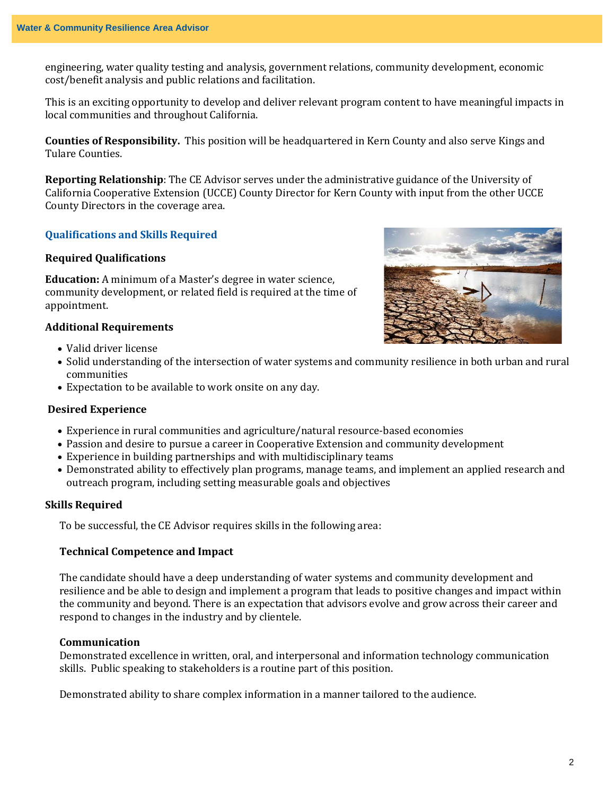engineering, water quality testing and analysis, government relations, community development, economic cost/benefit analysis and public relations and facilitation.

This is an exciting opportunity to develop and deliver relevant program content to have meaningful impacts in local communities and throughout California.

**Counties of Responsibility.** This position will be headquartered in Kern County and also serve Kings and Tulare Counties.

**Reporting Relationship**: The CE Advisor serves under the administrative guidance of the University of California Cooperative Extension (UCCE) County Director for Kern County with input from the other UCCE County Directors in the coverage area.

# **Qualifications and Skills Required**

### **Required Qualifications**

**Education:** A minimum of a Master's degree in water science, community development, or related field is required at the time of appointment.

## **Additional Requirements**

- Valid driver license
- Solid understanding of the intersection of water systems and community resilience in both urban and rural communities
- Expectation to be available to work onsite on any day.

#### **Desired Experience**

- Experience in rural communities and agriculture/natural resource-based economies
- Passion and desire to pursue a career in Cooperative Extension and community development
- Experience in building partnerships and with multidisciplinary teams
- Demonstrated ability to effectively plan programs, manage teams, and implement an applied research and outreach program, including setting measurable goals and objectives

#### **Skills Required**

To be successful, the CE Advisor requires skills in the following area:

#### **Technical Competence and Impact**

The candidate should have a deep understanding of water systems and community development and resilience and be able to design and implement a program that leads to positive changes and impact within the community and beyond. There is an expectation that advisors evolve and grow across their career and respond to changes in the industry and by clientele.

## **Communication**

Demonstrated excellence in written, oral, and interpersonal and information technology communication skills. Public speaking to stakeholders is a routine part of this position.

Demonstrated ability to share complex information in a manner tailored to the audience.

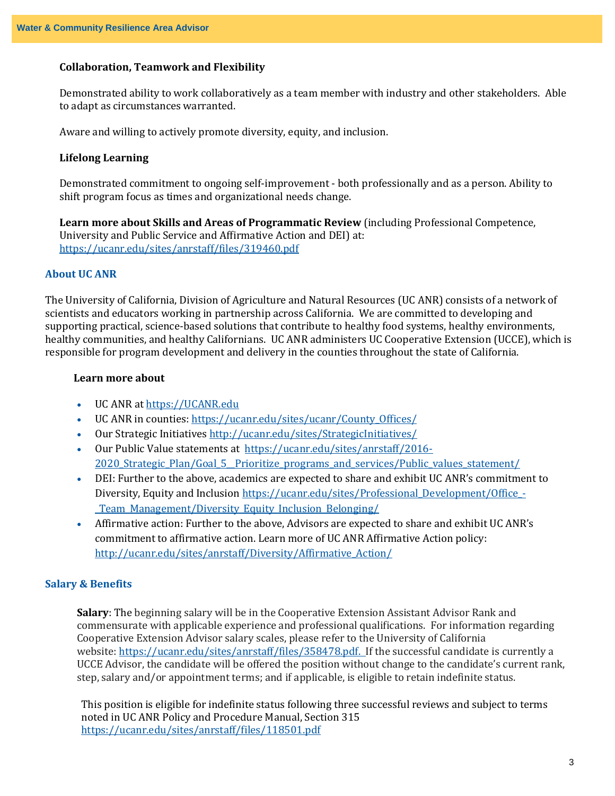# **Collaboration, Teamwork and Flexibility**

Demonstrated ability to work collaboratively as a team member with industry and other stakeholders. Able to adapt as circumstances warranted.

Aware and willing to actively promote diversity, equity, and inclusion.

#### **Lifelong Learning**

Demonstrated commitment to ongoing self-improvement - both professionally and as a person. Ability to shift program focus as times and organizational needs change.

**Learn more about Skills and Areas of Programmatic Review** (including Professional Competence, University and Public Service and Affirmative Action and DEI) at: <https://ucanr.edu/sites/anrstaff/files/319460.pdf>

#### **About UC ANR**

The University of California, Division of Agriculture and Natural Resources (UC ANR) consists of a network of scientists and educators working in partnership across California. We are committed to developing and supporting practical, science-based solutions that contribute to healthy food systems, healthy environments, healthy communities, and healthy Californians. UC ANR administers UC Cooperative Extension (UCCE), which is responsible for program development and delivery in the counties throughout the state of California.

# **Learn more about**

- UC ANR a[t https://UCANR.edu](https://ucanr.edu/)
- UC ANR in counties: [https://ucanr.edu/sites/ucanr/County\\_Offices/](https://ucanr.edu/sites/ucanr/County_Offices/)
- Our Strategic Initiative[s http://ucanr.edu/sites/StrategicInitiatives/](http://ucanr.edu/sites/StrategicInitiatives/)
- Our Public Value statements at [https://ucanr.edu/sites/anrstaff/2016-](https://ucanr.edu/sites/anrstaff/2016-2020_Strategic_Plan/Goal_5__Prioritize_programs_and_services/Public_values_statement/) 2020 Strategic Plan/Goal 5 Prioritize programs and services/Public values statement/
- DEI: Further to the above, academics are expected to share and exhibit UC ANR's commitment to Diversity, Equity and Inclusion [https://ucanr.edu/sites/Professional\\_Development/Office\\_-](https://ucanr.edu/sites/Professional_Development/Office_-_Team_Management/Diversity_Equity_Inclusion_Belonging/) [\\_Team\\_Management/Diversity\\_Equity\\_Inclusion\\_Belonging/](https://ucanr.edu/sites/Professional_Development/Office_-_Team_Management/Diversity_Equity_Inclusion_Belonging/)
- Affirmative action: Further to the above, Advisors are expected to share and exhibit UC ANR's commitment to affirmative action. Learn more of UC ANR Affirmative Action policy: [http://ucanr.edu/sites/anrstaff/Diversity/Affirmative\\_Action/](http://ucanr.edu/sites/anrstaff/Diversity/Affirmative_Action/)

#### **Salary & Benefits**

**Salary**: The beginning salary will be in the Cooperative Extension Assistant Advisor Rank and commensurate with applicable experience and professional qualifications. For information regarding Cooperative Extension Advisor salary scales, please refer to the University of California website: [https://ucanr.edu/sites/anrstaff/files/358478.pdf.](https://ucanr.edu/sites/anrstaff/files/358478.pdf) If the successful candidate is currently a UCCE Advisor, the candidate will be offered the position without change to the candidate's current rank, step, salary and/or appointment terms; and if applicable, is eligible to retain indefinite status.

This position is eligible for indefinite status following three successful reviews and subject to terms noted in UC ANR Policy and Procedure Manual, Section 315 <https://ucanr.edu/sites/anrstaff/files/118501.pdf>